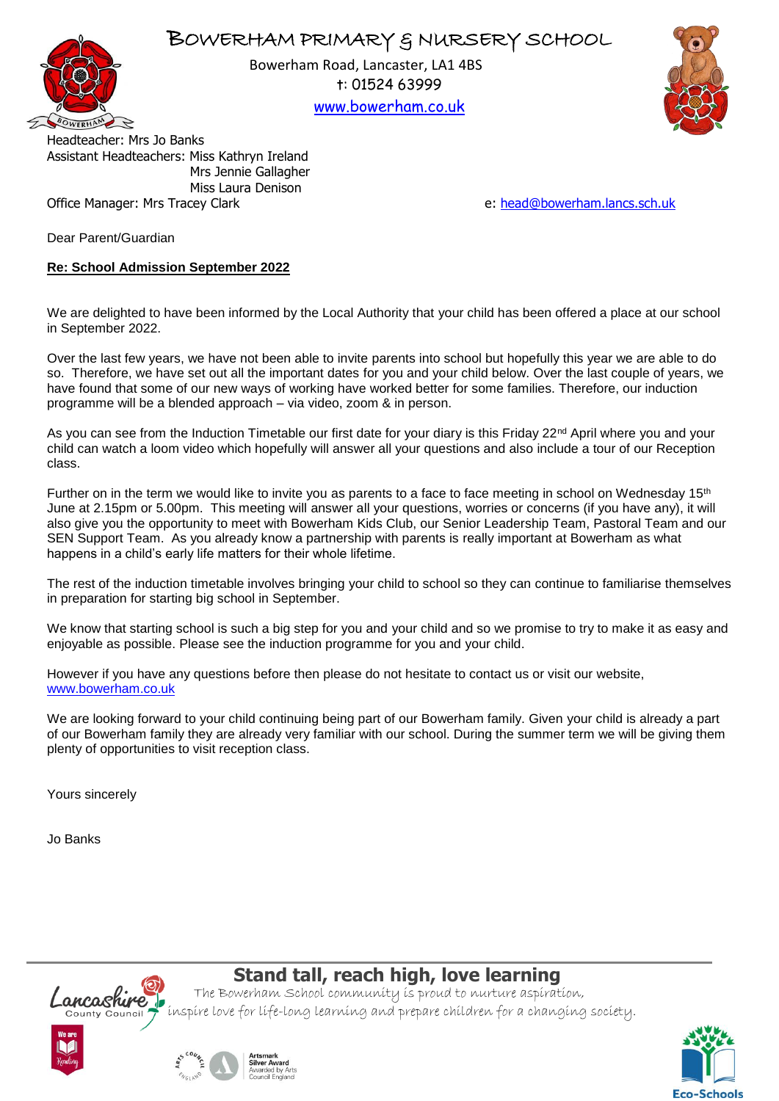



Bowerham Road, Lancaster, LA1 4BS t: 01524 63999

[www.bowerham.co.uk](http://www.bowerham.lancs.sch.uk/)



Headteacher: Mrs Jo Banks Assistant Headteachers: Miss Kathryn Ireland Mrs Jennie Gallagher Miss Laura Denison Office Manager: Mrs Tracey Clark e: [head@bowerham.lancs.sch.uk](mailto:head@bowerham.lancs.sch.uk) e: head@bowerham.lancs.sch.uk

Dear Parent/Guardian

## **Re: School Admission September 2022**

We are delighted to have been informed by the Local Authority that your child has been offered a place at our school in September 2022.

Over the last few years, we have not been able to invite parents into school but hopefully this year we are able to do so. Therefore, we have set out all the important dates for you and your child below. Over the last couple of years, we have found that some of our new ways of working have worked better for some families. Therefore, our induction programme will be a blended approach – via video, zoom & in person.

As you can see from the Induction Timetable our first date for your diary is this Friday  $22^{nd}$  April where you and your child can watch a loom video which hopefully will answer all your questions and also include a tour of our Reception class.

Further on in the term we would like to invite you as parents to a face to face meeting in school on Wednesday 15<sup>th</sup> June at 2.15pm or 5.00pm. This meeting will answer all your questions, worries or concerns (if you have any), it will also give you the opportunity to meet with Bowerham Kids Club, our Senior Leadership Team, Pastoral Team and our SEN Support Team. As you already know a partnership with parents is really important at Bowerham as what happens in a child's early life matters for their whole lifetime.

The rest of the induction timetable involves bringing your child to school so they can continue to familiarise themselves in preparation for starting big school in September.

We know that starting school is such a big step for you and your child and so we promise to try to make it as easy and enjoyable as possible. Please see the induction programme for you and your child.

However if you have any questions before then please do not hesitate to contact us or visit our website, [www.bowerham.co.uk](http://www.bowerham.co.uk/)

We are looking forward to your child continuing being part of our Bowerham family. Given your child is already a part of our Bowerham family they are already very familiar with our school. During the summer term we will be giving them plenty of opportunities to visit reception class.

Yours sincerely

Jo Banks



## **Stand tall, reach high, love learning**

The Bowerham School community is proud to nurture aspiration, inspire love for life-long learning and prepare children for a changing society.